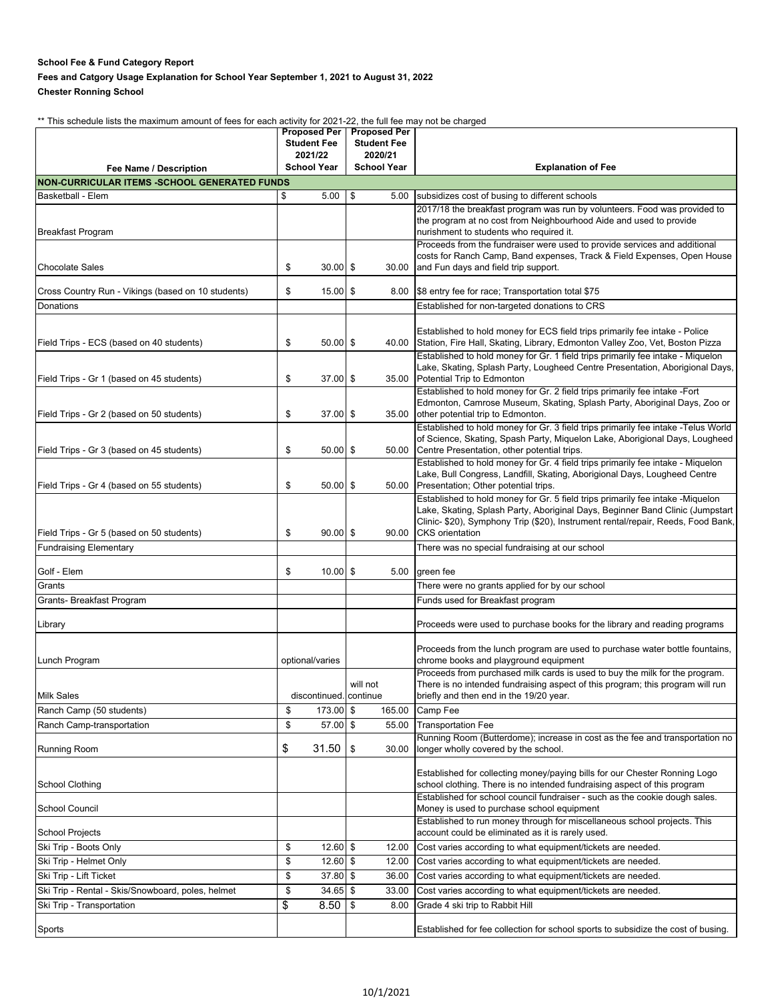## **School Fee & Fund Category Report**

## **Fees and Catgory Usage Explanation for School Year September 1, 2021 to August 31, 2022 Chester Ronning School**

\*\* This schedule lists the maximum amount of fees for each activity for 2021-22, the full fee may not be charged

|                                                     | <b>Proposed Per</b> |                    | <b>Proposed Per</b>                |        |                                                                                                                                                                 |
|-----------------------------------------------------|---------------------|--------------------|------------------------------------|--------|-----------------------------------------------------------------------------------------------------------------------------------------------------------------|
|                                                     |                     | <b>Student Fee</b> | <b>Student Fee</b>                 |        |                                                                                                                                                                 |
|                                                     |                     | 2021/22            | 2020/21                            |        |                                                                                                                                                                 |
| Fee Name / Description                              |                     | <b>School Year</b> | <b>School Year</b>                 |        | <b>Explanation of Fee</b>                                                                                                                                       |
| <b>NON-CURRICULAR ITEMS -SCHOOL GENERATED FUNDS</b> |                     |                    |                                    |        |                                                                                                                                                                 |
| <b>Basketball - Elem</b>                            | \$                  | 5.00               | \$                                 | 5.00   | subsidizes cost of busing to different schools                                                                                                                  |
|                                                     |                     |                    |                                    |        | 2017/18 the breakfast program was run by volunteers. Food was provided to                                                                                       |
| <b>Breakfast Program</b>                            |                     |                    |                                    |        | the program at no cost from Neighbourhood Aide and used to provide<br>nurishment to students who required it.                                                   |
|                                                     |                     |                    |                                    |        | Proceeds from the fundraiser were used to provide services and additional                                                                                       |
|                                                     |                     |                    |                                    |        | costs for Ranch Camp, Band expenses, Track & Field Expenses, Open House                                                                                         |
| <b>Chocolate Sales</b>                              | \$                  | $30.00$ \$         |                                    | 30.00  | and Fun days and field trip support.                                                                                                                            |
|                                                     |                     |                    |                                    |        |                                                                                                                                                                 |
| Cross Country Run - Vikings (based on 10 students)  | \$                  | $15.00$ \$         |                                    | 8.00   | \$8 entry fee for race; Transportation total \$75                                                                                                               |
| Donations                                           |                     |                    |                                    |        | Established for non-targeted donations to CRS                                                                                                                   |
|                                                     |                     |                    |                                    |        |                                                                                                                                                                 |
|                                                     |                     |                    |                                    |        | Established to hold money for ECS field trips primarily fee intake - Police                                                                                     |
| Field Trips - ECS (based on 40 students)            | \$                  | $50.00$ \$         |                                    | 40.00  | Station, Fire Hall, Skating, Library, Edmonton Valley Zoo, Vet, Boston Pizza<br>Established to hold money for Gr. 1 field trips primarily fee intake - Miquelon |
|                                                     |                     |                    |                                    |        | Lake, Skating, Splash Party, Lougheed Centre Presentation, Aborigional Days,                                                                                    |
| Field Trips - Gr 1 (based on 45 students)           | \$                  | $37.00$ \$         |                                    | 35.00  | Potential Trip to Edmonton                                                                                                                                      |
|                                                     |                     |                    |                                    |        | Established to hold money for Gr. 2 field trips primarily fee intake -Fort                                                                                      |
|                                                     |                     |                    |                                    |        | Edmonton, Camrose Museum, Skating, Splash Party, Aboriginal Days, Zoo or                                                                                        |
| Field Trips - Gr 2 (based on 50 students)           | \$                  | $37.00$ \$         |                                    | 35.00  | other potential trip to Edmonton.                                                                                                                               |
|                                                     |                     |                    |                                    |        | Established to hold money for Gr. 3 field trips primarily fee intake -Telus World                                                                               |
| Field Trips - Gr 3 (based on 45 students)           | \$                  | $50.00$ \$         |                                    | 50.00  | of Science, Skating, Spash Party, Miquelon Lake, Aborigional Days, Lougheed                                                                                     |
|                                                     |                     |                    |                                    |        | Centre Presentation, other potential trips.<br>Established to hold money for Gr. 4 field trips primarily fee intake - Miquelon                                  |
|                                                     |                     |                    |                                    |        | Lake, Bull Congress, Landfill, Skating, Aborigional Days, Lougheed Centre                                                                                       |
| Field Trips - Gr 4 (based on 55 students)           | \$                  | $50.00$ \$         |                                    | 50.00  | Presentation; Other potential trips.                                                                                                                            |
|                                                     |                     |                    |                                    |        | Established to hold money for Gr. 5 field trips primarily fee intake -Miquelon                                                                                  |
|                                                     |                     |                    |                                    |        | Lake, Skating, Splash Party, Aboriginal Days, Beginner Band Clinic (Jumpstart                                                                                   |
|                                                     |                     |                    |                                    |        | Clinic- \$20), Symphony Trip (\$20), Instrument rental/repair, Reeds, Food Bank,                                                                                |
| Field Trips - Gr 5 (based on 50 students)           | \$                  | $90.00$ \$         |                                    | 90.00  | <b>CKS</b> orientation                                                                                                                                          |
| <b>Fundraising Elementary</b>                       |                     |                    |                                    |        | There was no special fundraising at our school                                                                                                                  |
| Golf - Elem                                         | \$                  | $10.00$ \$         |                                    | 5.00   | green fee                                                                                                                                                       |
| Grants                                              |                     |                    |                                    |        | There were no grants applied for by our school                                                                                                                  |
| Grants- Breakfast Program                           |                     |                    |                                    |        | Funds used for Breakfast program                                                                                                                                |
|                                                     |                     |                    |                                    |        |                                                                                                                                                                 |
| Library                                             |                     |                    |                                    |        | Proceeds were used to purchase books for the library and reading programs                                                                                       |
|                                                     |                     |                    |                                    |        |                                                                                                                                                                 |
|                                                     |                     |                    |                                    |        | Proceeds from the lunch program are used to purchase water bottle fountains,                                                                                    |
| Lunch Program                                       | optional/varies     |                    |                                    |        | chrome books and playground equipment                                                                                                                           |
|                                                     |                     |                    |                                    |        | Proceeds from purchased milk cards is used to buy the milk for the program.                                                                                     |
| Milk Sales                                          |                     |                    | will not<br>discontinued. continue |        | There is no intended fundraising aspect of this program; this program will run<br>briefly and then end in the 19/20 year.                                       |
|                                                     |                     |                    |                                    |        |                                                                                                                                                                 |
| Ranch Camp (50 students)                            | \$                  | 173.00 \$          |                                    | 165.00 | Camp Fee                                                                                                                                                        |
| Ranch Camp-transportation                           | \$                  | $57.00$ \$         |                                    | 55.00  | <b>Transportation Fee</b>                                                                                                                                       |
| <b>Running Room</b>                                 | \$                  | 31.50              | \$                                 | 30.00  | Running Room (Butterdome); increase in cost as the fee and transportation no<br>longer wholly covered by the school.                                            |
|                                                     |                     |                    |                                    |        |                                                                                                                                                                 |
|                                                     |                     |                    |                                    |        | Established for collecting money/paying bills for our Chester Ronning Logo                                                                                      |
| School Clothing                                     |                     |                    |                                    |        | school clothing. There is no intended fundraising aspect of this program                                                                                        |
|                                                     |                     |                    |                                    |        | Established for school council fundraiser - such as the cookie dough sales.                                                                                     |
| School Council                                      |                     |                    |                                    |        | Money is used to purchase school equipment                                                                                                                      |
|                                                     |                     |                    |                                    |        | Established to run money through for miscellaneous school projects. This                                                                                        |
| <b>School Projects</b>                              |                     |                    |                                    |        | account could be eliminated as it is rarely used.                                                                                                               |
| Ski Trip - Boots Only                               | \$                  | $12.60$ \$         |                                    | 12.00  | Cost varies according to what equipment/tickets are needed.                                                                                                     |
| Ski Trip - Helmet Only                              | \$                  | $12.60$ \$         |                                    | 12.00  | Cost varies according to what equipment/tickets are needed.                                                                                                     |
| Ski Trip - Lift Ticket                              | \$                  | 37.80 \$           |                                    | 36.00  | Cost varies according to what equipment/tickets are needed.                                                                                                     |
| Ski Trip - Rental - Skis/Snowboard, poles, helmet   | \$                  | $34.65$ \$         |                                    | 33.00  | Cost varies according to what equipment/tickets are needed.                                                                                                     |
| Ski Trip - Transportation                           | \$                  | 8.50               | \$                                 | 8.00   | Grade 4 ski trip to Rabbit Hill                                                                                                                                 |
|                                                     |                     |                    |                                    |        |                                                                                                                                                                 |
| Sports                                              |                     |                    |                                    |        | Established for fee collection for school sports to subsidize the cost of busing.                                                                               |